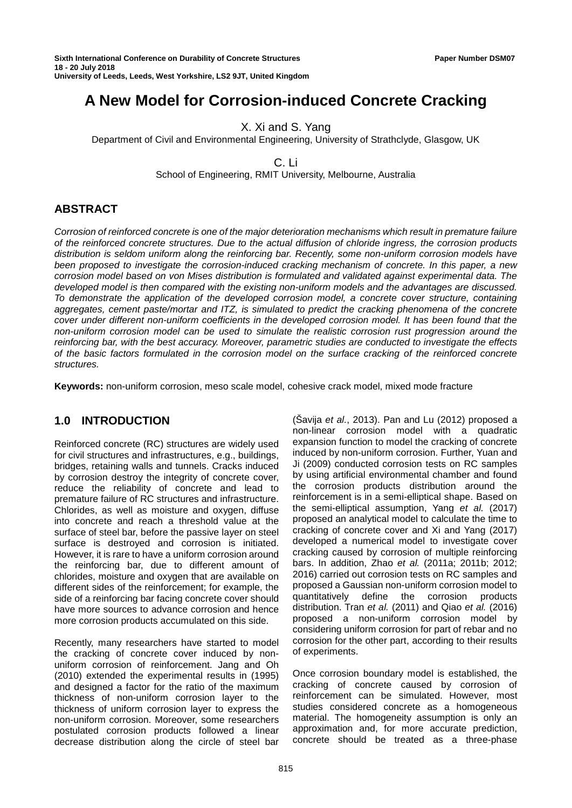# **A New Model for Corrosion-induced Concrete Cracking**

X. Xi and S. Yang

Department of Civil and Environmental Engineering, University of Strathclyde, Glasgow, UK

C. Li

School of Engineering, RMIT University, Melbourne, Australia

# **ABSTRACT**

*Corrosion of reinforced concrete is one of the major deterioration mechanisms which result in premature failure of the reinforced concrete structures. Due to the actual diffusion of chloride ingress, the corrosion products distribution is seldom uniform along the reinforcing bar. Recently, some non-uniform corrosion models have been proposed to investigate the corrosion-induced cracking mechanism of concrete. In this paper, a new corrosion model based on von Mises distribution is formulated and validated against experimental data. The developed model is then compared with the existing non-uniform models and the advantages are discussed. To demonstrate the application of the developed corrosion model, a concrete cover structure, containing aggregates, cement paste/mortar and ITZ, is simulated to predict the cracking phenomena of the concrete cover under different non-uniform coefficients in the developed corrosion model. It has been found that the non-uniform corrosion model can be used to simulate the realistic corrosion rust progression around the reinforcing bar, with the best accuracy. Moreover, parametric studies are conducted to investigate the effects of the basic factors formulated in the corrosion model on the surface cracking of the reinforced concrete structures.*

**Keywords:** non-uniform corrosion, meso scale model, cohesive crack model, mixed mode fracture

## **1.0 INTRODUCTION**

Reinforced concrete (RC) structures are widely used for civil structures and infrastructures, e.g., buildings, bridges, retaining walls and tunnels. Cracks induced by corrosion destroy the integrity of concrete cover, reduce the reliability of concrete and lead to premature failure of RC structures and infrastructure. Chlorides, as well as moisture and oxygen, diffuse into concrete and reach a threshold value at the surface of steel bar, before the passive layer on steel surface is destroyed and corrosion is initiated. However, it is rare to have a uniform corrosion around the reinforcing bar, due to different amount of chlorides, moisture and oxygen that are available on different sides of the reinforcement; for example, the side of a reinforcing bar facing concrete cover should have more sources to advance corrosion and hence more corrosion products accumulated on this side.

Recently, many researchers have started to model the cracking of concrete cover induced by nonuniform corrosion of reinforcement. Jang and Oh (2010) extended the experimental results in (1995) and designed a factor for the ratio of the maximum thickness of non-uniform corrosion layer to the thickness of uniform corrosion layer to express the non-uniform corrosion. Moreover, some researchers postulated corrosion products followed a linear decrease distribution along the circle of steel bar

(Šavija *et al.*, 2013). Pan and Lu (2012) proposed a non-linear corrosion model with a quadratic expansion function to model the cracking of concrete induced by non-uniform corrosion. Further, Yuan and Ji (2009) conducted corrosion tests on RC samples by using artificial environmental chamber and found the corrosion products distribution around the reinforcement is in a semi-elliptical shape. Based on the semi-elliptical assumption, Yang *et al.* (2017) proposed an analytical model to calculate the time to cracking of concrete cover and Xi and Yang (2017) developed a numerical model to investigate cover cracking caused by corrosion of multiple reinforcing bars. In addition, Zhao *et al.* (2011a; 2011b; 2012; 2016) carried out corrosion tests on RC samples and proposed a Gaussian non-uniform corrosion model to quantitatively define the corrosion products distribution. Tran *et al.* (2011) and Qiao *et al.* (2016) proposed a non-uniform corrosion model by considering uniform corrosion for part of rebar and no corrosion for the other part, according to their results of experiments.

Once corrosion boundary model is established, the cracking of concrete caused by corrosion of reinforcement can be simulated. However, most studies considered concrete as a homogeneous material. The homogeneity assumption is only an approximation and, for more accurate prediction, concrete should be treated as a three-phase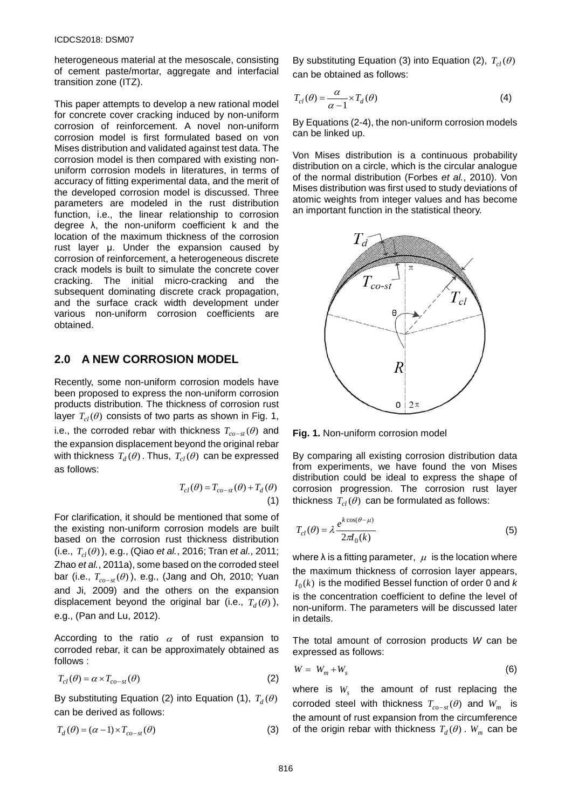heterogeneous material at the mesoscale, consisting of cement paste/mortar, aggregate and interfacial transition zone (ITZ).

This paper attempts to develop a new rational model for concrete cover cracking induced by non-uniform corrosion of reinforcement. A novel non-uniform corrosion model is first formulated based on von Mises distribution and validated against test data. The corrosion model is then compared with existing nonuniform corrosion models in literatures, in terms of accuracy of fitting experimental data, and the merit of the developed corrosion model is discussed. Three parameters are modeled in the rust distribution function, i.e., the linear relationship to corrosion degree λ, the non-uniform coefficient k and the location of the maximum thickness of the corrosion rust layer μ. Under the expansion caused by corrosion of reinforcement, a heterogeneous discrete crack models is built to simulate the concrete cover cracking. The initial micro-cracking and the subsequent dominating discrete crack propagation, and the surface crack width development under various non-uniform corrosion coefficients are obtained.

## **2.0 A NEW CORROSION MODEL**

Recently, some non-uniform corrosion models have been proposed to express the non-uniform corrosion products distribution. The thickness of corrosion rust layer  $T_{cl}(\theta)$  consists of two parts as shown in Fig. 1, i.e., the corroded rebar with thickness  $T_{co-st}(\theta)$  and the expansion displacement beyond the original rebar with thickness  $T_d(\theta)$ . Thus,  $T_{d}(\theta)$  can be expressed as follows:

$$
T_{cl}(\theta) = T_{co-st}(\theta) + T_d(\theta)
$$
\n(1)

For clarification, it should be mentioned that some of the existing non-uniform corrosion models are built based on the corrosion rust thickness distribution  $(i.e., T_{cl}(\theta))$ , e.g., (Qiao *et al.*, 2016; Tran *et al.*, 2011; Zhao *et al.*, 2011a), some based on the corroded steel bar (i.e., *T*<sub>*co−st</sub>* (θ)), e.g., (Jang and Oh, 2010; Yuan</sub> and Ji, 2009) and the others on the expansion displacement beyond the original bar (i.e.,  $T_d(\theta)$ ), e.g., (Pan and Lu, 2012).

According to the ratio  $\alpha$  of rust expansion to corroded rebar, it can be approximately obtained as follows :

$$
T_{cl}(\theta) = \alpha \times T_{co-st}(\theta)
$$
 (2)

By substituting Equation (2) into Equation (1),  $T_d(\theta)$ can be derived as follows:

$$
T_d(\theta) = (\alpha - 1) \times T_{co-st}(\theta)
$$
\n(3)

By substituting Equation (3) into Equation (2),  $T_{cl}(\theta)$ can be obtained as follows:

$$
T_{cl}(\theta) = \frac{\alpha}{\alpha - 1} \times T_d(\theta)
$$
 (4)

By Equations (2-4), the non-uniform corrosion models can be linked up.

Von Mises distribution is a continuous probability distribution on a circle, which is the circular analogue of the normal distribution (Forbes *et al.*, 2010). Von Mises distribution was first used to study deviations of atomic weights from integer values and has become an important function in the statistical theory.



**Fig. 1.** Non-uniform corrosion model

By comparing all existing corrosion distribution data from experiments, we have found the von Mises distribution could be ideal to express the shape of corrosion progression. The corrosion rust layer thickness  $T_{cl}(\theta)$  can be formulated as follows:

$$
T_{cl}(\theta) = \lambda \frac{e^{k \cos(\theta - \mu)}}{2\pi I_0(k)}\tag{5}
$$

where  $\lambda$  is a fitting parameter,  $\mu$  is the location where the maximum thickness of corrosion layer appears,  $I_0(k)$  is the modified Bessel function of order 0 and *k* is the concentration coefficient to define the level of non-uniform. The parameters will be discussed later in details.

The total amount of corrosion products *W* can be expressed as follows:

$$
W = W_m + W_s \tag{6}
$$

where is  $W_s$  the amount of rust replacing the corroded steel with thickness  $T_{co-st}(\theta)$  and  $W_m$  is the amount of rust expansion from the circumference of the origin rebar with thickness  $T_d(\theta)$ .  $W_m$  can be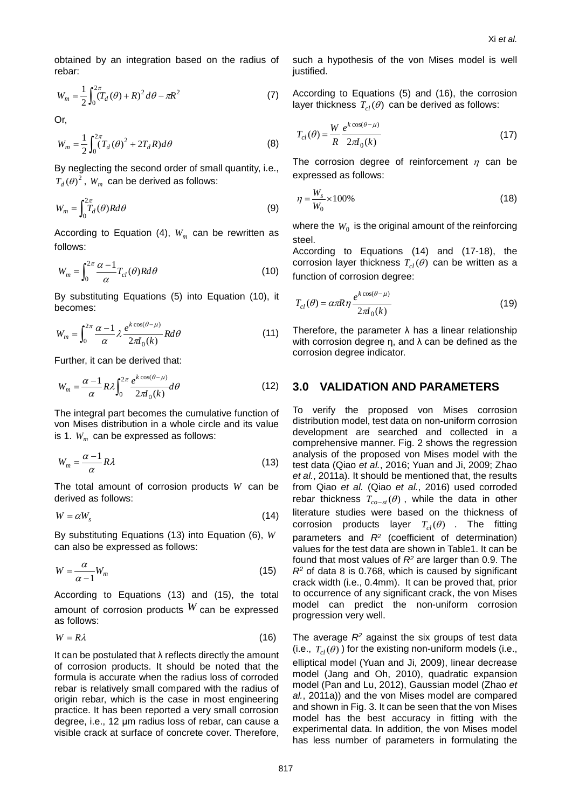obtained by an integration based on the radius of rebar:

$$
W_m = \frac{1}{2} \int_0^{2\pi} (T_d(\theta) + R)^2 d\theta - \pi R^2
$$
 (7)

Or,

$$
W_m = \frac{1}{2} \int_0^{2\pi} (T_d(\theta)^2 + 2T_d R) d\theta
$$
 (8)

By neglecting the second order of small quantity, i.e.,  $T_d(\theta)^2$ ,  $W_m$  can be derived as follows:

$$
W_m = \int_{0}^{2\pi} T_d(\theta) R d\theta \tag{9}
$$

According to Equation (4),  $W_m$  can be rewritten as follows:

$$
W_m = \int_0^{2\pi} \frac{\alpha - 1}{\alpha} T_{cl}(\theta) R d\theta \tag{10}
$$

By substituting Equations (5) into Equation (10), it becomes:

$$
W_m = \int_0^{2\pi} \frac{\alpha - 1}{\alpha} \lambda \frac{e^{k \cos(\theta - \mu)}}{2\pi I_0(k)} R d\theta \tag{11}
$$

Further, it can be derived that:

$$
W_m = \frac{\alpha - 1}{\alpha} R \lambda \int_0^{2\pi} \frac{e^{k \cos(\theta - \mu)}}{2\pi I_0(k)} d\theta \tag{12}
$$

The integral part becomes the cumulative function of von Mises distribution in a whole circle and its value is 1.  $W_m$  can be expressed as follows:

$$
W_m = \frac{\alpha - 1}{\alpha} R\lambda \tag{13}
$$

The total amount of corrosion products *W* can be derived as follows:

$$
W = \alpha W_s \tag{14}
$$

By substituting Equations (13) into Equation (6), *W* can also be expressed as follows:

$$
W = \frac{\alpha}{\alpha - 1} W_m \tag{15}
$$

According to Equations (13) and (15), the total amount of corrosion products  $W$  can be expressed as follows:

$$
W = R\lambda \tag{16}
$$

It can be postulated that  $\lambda$  reflects directly the amount of corrosion products. It should be noted that the formula is accurate when the radius loss of corroded rebar is relatively small compared with the radius of origin rebar, which is the case in most engineering practice. It has been reported a very small corrosion degree, i.e., 12 μm radius loss of rebar, can cause a visible crack at surface of concrete cover. Therefore, such a hypothesis of the von Mises model is well justified.

According to Equations (5) and (16), the corrosion layer thickness  $T_{cl}(\theta)$  can be derived as follows:

$$
T_{cl}(\theta) = \frac{W}{R} \frac{e^{k \cos(\theta - \mu)}}{2\pi I_0(k)}\tag{17}
$$

The corrosion degree of reinforcement  $\eta$  can be expressed as follows:

$$
\eta = \frac{W_s}{W_0} \times 100\%
$$
\n(18)

where the  $W_0$  is the original amount of the reinforcing steel.

According to Equations (14) and (17-18), the corrosion layer thickness  $T_{cl}(\theta)$  can be written as a function of corrosion degree:

$$
T_{cl}(\theta) = \alpha \pi R \eta \frac{e^{k \cos(\theta - \mu)}}{2\pi I_0(k)}\tag{19}
$$

Therefore, the parameter  $\lambda$  has a linear relationship with corrosion degree  $\eta$ , and  $\lambda$  can be defined as the corrosion degree indicator.

### **3.0 VALIDATION AND PARAMETERS**

To verify the proposed von Mises corrosion distribution model, test data on non-uniform corrosion development are searched and collected in a comprehensive manner. Fig. 2 shows the regression analysis of the proposed von Mises model with the test data (Qiao *et al.*, 2016; Yuan and Ji, 2009; Zhao *et al.*, 2011a). It should be mentioned that, the results from Qiao *et al.* (Qiao *et al.*, 2016) used corroded rebar thickness  $T_{co-st}(\theta)$ , while the data in other literature studies were based on the thickness of corrosion products layer  $T_{cl}(\theta)$  . The fitting parameters and *R2* (coefficient of determination) values for the test data are shown in Table1. It can be found that most values of *R2* are larger than 0.9. The *R2* of data 8 is 0.768, which is caused by significant crack width (i.e., 0.4mm). It can be proved that, prior to occurrence of any significant crack, the von Mises model can predict the non-uniform corrosion progression very well.

The average  $R<sup>2</sup>$  against the six groups of test data (i.e.,  $T_{cl}(\theta)$ ) for the existing non-uniform models (i.e., elliptical model (Yuan and Ji, 2009), linear decrease model (Jang and Oh, 2010), quadratic expansion model (Pan and Lu, 2012), Gaussian model (Zhao *et al.*, 2011a)) and the von Mises model are compared and shown in Fig. 3. It can be seen that the von Mises model has the best accuracy in fitting with the experimental data. In addition, the von Mises model has less number of parameters in formulating the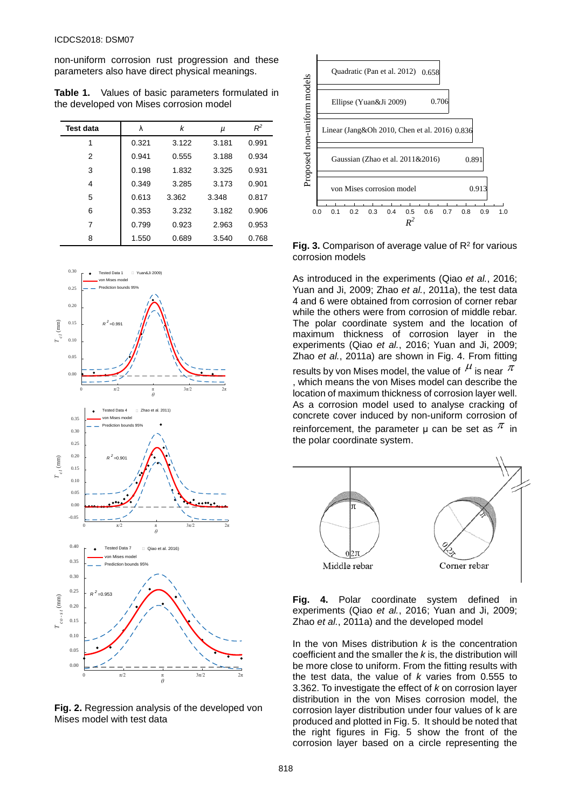non-uniform corrosion rust progression and these parameters also have direct physical meanings.

**Table 1.** Values of basic parameters formulated in the developed von Mises corrosion model

| <b>Test data</b> | λ     | k     | μ     | $R^2$ |
|------------------|-------|-------|-------|-------|
| 1                | 0.321 | 3.122 | 3.181 | 0.991 |
| 2                | 0.941 | 0.555 | 3.188 | 0.934 |
| 3                | 0.198 | 1.832 | 3.325 | 0.931 |
| 4                | 0.349 | 3.285 | 3.173 | 0.901 |
| 5                | 0.613 | 3.362 | 3.348 | 0.817 |
| 6                | 0.353 | 3.232 | 3.182 | 0.906 |
| 7                | 0.799 | 0.923 | 2.963 | 0.953 |
| 8                | 1.550 | 0.689 | 3.540 | 0.768 |



**Fig. 2.** Regression analysis of the developed von Mises model with test data



Fig. 3. Comparison of average value of R<sup>2</sup> for various corrosion models

As introduced in the experiments (Qiao *et al.*, 2016; Yuan and Ji, 2009; Zhao *et al.*, 2011a), the test data 4 and 6 were obtained from corrosion of corner rebar while the others were from corrosion of middle rebar. The polar coordinate system and the location of maximum thickness of corrosion layer in the experiments (Qiao *et al.*, 2016; Yuan and Ji, 2009; Zhao *et al.*, 2011a) are shown in Fig. 4. From fitting results by von Mises model, the value of  $\mu$  is near  $\pi$ , which means the von Mises model can describe the location of maximum thickness of corrosion layer well. As a corrosion model used to analyse cracking of concrete cover induced by non-uniform corrosion of reinforcement, the parameter  $\mu$  can be set as  $\pi$  in the polar coordinate system.



**Fig. 4.** Polar coordinate system defined in experiments (Qiao *et al.*, 2016; Yuan and Ji, 2009; Zhao *et al.*, 2011a) and the developed model

In the von Mises distribution *k* is the concentration coefficient and the smaller the *k* is, the distribution will be more close to uniform. From the fitting results with the test data, the value of *k* varies from 0.555 to 3.362. To investigate the effect of *k* on corrosion layer distribution in the von Mises corrosion model, the corrosion layer distribution under four values of k are produced and plotted in Fig. 5. It should be noted that the right figures in Fig. 5 show the front of the corrosion layer based on a circle representing the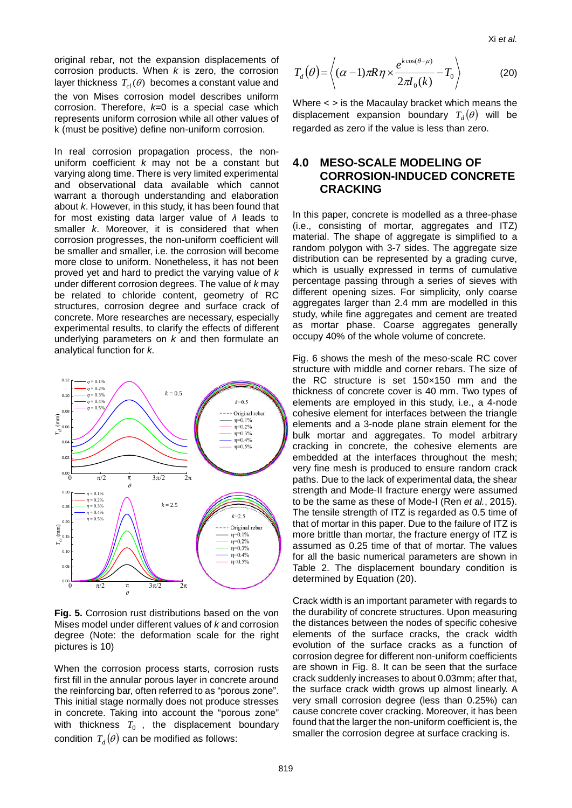original rebar, not the expansion displacements of corrosion products. When *k* is zero, the corrosion layer thickness  $T_{cl}(\theta)$  becomes a constant value and the von Mises corrosion model describes uniform corrosion. Therefore, *k*=0 is a special case which represents uniform corrosion while all other values of k (must be positive) define non-uniform corrosion.

In real corrosion propagation process, the nonuniform coefficient *k* may not be a constant but varying along time. There is very limited experimental and observational data available which cannot warrant a thorough understanding and elaboration about *k*. However, in this study, it has been found that for most existing data larger value of *λ* leads to smaller *k*. Moreover, it is considered that when corrosion progresses, the non-uniform coefficient will be smaller and smaller, i.e. the corrosion will become more close to uniform. Nonetheless, it has not been proved yet and hard to predict the varying value of *k* under different corrosion degrees. The value of *k* may be related to chloride content, geometry of RC structures, corrosion degree and surface crack of concrete. More researches are necessary, especially experimental results, to clarify the effects of different underlying parameters on *k* and then formulate an analytical function for *k.*



**Fig. 5.** Corrosion rust distributions based on the von Mises model under different values of *k* and corrosion degree (Note: the deformation scale for the right pictures is 10)

When the corrosion process starts, corrosion rusts first fill in the annular porous layer in concrete around the reinforcing bar, often referred to as "porous zone". This initial stage normally does not produce stresses in concrete. Taking into account the "porous zone" with thickness  $T_0$ , the displacement boundary condition  $T_d(\theta)$  can be modified as follows:

$$
T_d(\theta) = \left\langle (\alpha - 1)\pi R \eta \times \frac{e^{k\cos(\theta - \mu)}}{2\pi I_0(k)} - T_0 \right\rangle
$$
 (20)

Where < > is the Macaulay bracket which means the displacement expansion boundary  $T_d(\theta)$  will be regarded as zero if the value is less than zero.

## **4.0 MESO-SCALE MODELING OF CORROSION-INDUCED CONCRETE CRACKING**

In this paper, concrete is modelled as a three-phase (i.e., consisting of mortar, aggregates and ITZ) material. The shape of aggregate is simplified to a random polygon with 3-7 sides. The aggregate size distribution can be represented by a grading curve, which is usually expressed in terms of cumulative percentage passing through a series of sieves with different opening sizes. For simplicity, only coarse aggregates larger than 2.4 mm are modelled in this study, while fine aggregates and cement are treated as mortar phase. Coarse aggregates generally occupy 40% of the whole volume of concrete.

Fig. 6 shows the mesh of the meso-scale RC cover structure with middle and corner rebars. The size of the RC structure is set 150×150 mm and the thickness of concrete cover is 40 mm. Two types of elements are employed in this study, i.e., a 4-node cohesive element for interfaces between the triangle elements and a 3-node plane strain element for the bulk mortar and aggregates. To model arbitrary cracking in concrete, the cohesive elements are embedded at the interfaces throughout the mesh; very fine mesh is produced to ensure random crack paths. Due to the lack of experimental data, the shear strength and Mode-II fracture energy were assumed to be the same as these of Mode-I (Ren *et al.*, 2015). The tensile strength of ITZ is regarded as 0.5 time of that of mortar in this paper. Due to the failure of ITZ is more brittle than mortar, the fracture energy of ITZ is assumed as 0.25 time of that of mortar. The values for all the basic numerical parameters are shown in Table 2. The displacement boundary condition is determined by Equation (20).

Crack width is an important parameter with regards to the durability of concrete structures. Upon measuring the distances between the nodes of specific cohesive elements of the surface cracks, the crack width evolution of the surface cracks as a function of corrosion degree for different non-uniform coefficients are shown in Fig. 8. It can be seen that the surface crack suddenly increases to about 0.03mm; after that, the surface crack width grows up almost linearly. A very small corrosion degree (less than 0.25%) can cause concrete cover cracking. Moreover, it has been found that the larger the non-uniform coefficient is, the smaller the corrosion degree at surface cracking is.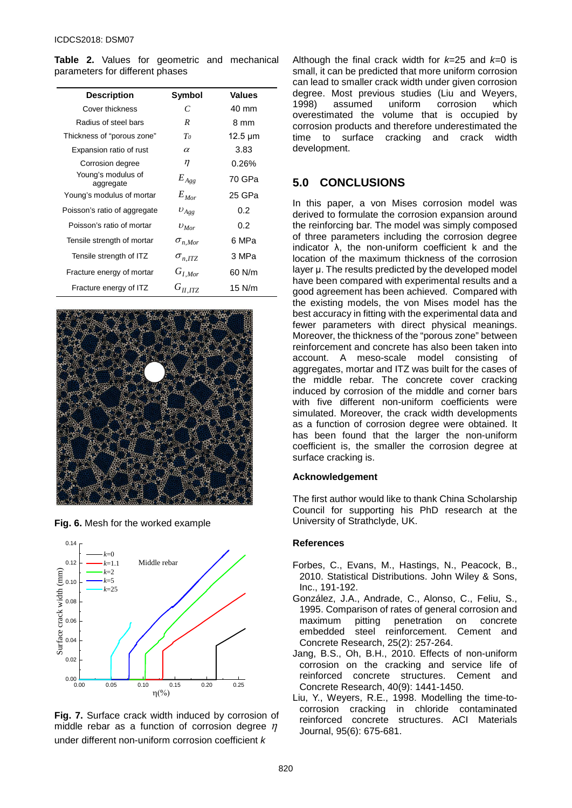**Table 2.** Values for geometric and mechanical parameters for different phases

| <b>Description</b>              | Symbol           | <b>Values</b> |
|---------------------------------|------------------|---------------|
| Cover thickness                 | C                | 40 mm         |
| Radius of steel bars            | R                | 8 mm          |
| Thickness of "porous zone"      | T <sub>0</sub>   | 12.5 µm       |
| Expansion ratio of rust         | $\alpha$         | 3.83          |
| Corrosion degree                | η                | 0.26%         |
| Young's modulus of<br>aggregate | $E_{Agg}$        | 70 GPa        |
| Young's modulus of mortar       | $E_{Mor}$        | 25 GPa        |
| Poisson's ratio of aggregate    | $v_{Agg}$        | 0.2           |
| Poisson's ratio of mortar       | $v_{\text{Mor}}$ | 0.2           |
| Tensile strength of mortar      | $\sigma_{n,Mor}$ | 6 MPa         |
| Tensile strength of ITZ         | $\sigma_{n,ITZ}$ | 3 MPa         |
| Fracture energy of mortar       | $G_{I,Mor}$      | 60 N/m        |
| Fracture energy of ITZ          | $G_{II,ITZ}$     | $15$ N/m      |







**Fig. 7.** Surface crack width induced by corrosion of middle rebar as a function of corrosion degree  $\eta$ under different non-uniform corrosion coefficient *k*

Although the final crack width for *k*=25 and *k*=0 is small, it can be predicted that more uniform corrosion can lead to smaller crack width under given corrosion degree. Most previous studies (Liu and Weyers,<br>1998) assumed uniform corrosion which corrosion which overestimated the volume that is occupied by corrosion products and therefore underestimated the cracking and crack width development.

## **5.0 CONCLUSIONS**

In this paper, a von Mises corrosion model was derived to formulate the corrosion expansion around the reinforcing bar. The model was simply composed of three parameters including the corrosion degree indicator  $\lambda$ , the non-uniform coefficient k and the location of the maximum thickness of the corrosion layer μ. The results predicted by the developed model have been compared with experimental results and a good agreement has been achieved. Compared with the existing models, the von Mises model has the best accuracy in fitting with the experimental data and fewer parameters with direct physical meanings. Moreover, the thickness of the "porous zone" between reinforcement and concrete has also been taken into account. A meso-scale model consisting of aggregates, mortar and ITZ was built for the cases of the middle rebar. The concrete cover cracking induced by corrosion of the middle and corner bars with five different non-uniform coefficients were simulated. Moreover, the crack width developments as a function of corrosion degree were obtained. It has been found that the larger the non-uniform coefficient is, the smaller the corrosion degree at surface cracking is.

#### **Acknowledgement**

The first author would like to thank China Scholarship Council for supporting his PhD research at the University of Strathclyde, UK.

#### **References**

- Forbes, C., Evans, M., Hastings, N., Peacock, B., 2010. Statistical Distributions. John Wiley & Sons, Inc., 191-192.
- González, J.A., Andrade, C., Alonso, C., Feliu, S., 1995. Comparison of rates of general corrosion and<br>maximum pitting penetration on concrete maximum pitting penetration on embedded steel reinforcement. Cement and Concrete Research, 25(2): 257-264.
- Jang, B.S., Oh, B.H., 2010. Effects of non-uniform corrosion on the cracking and service life of<br>reinforced concrete structures. Cement and reinforced concrete structures. Concrete Research, 40(9): 1441-1450.
- Liu, Y., Weyers, R.E., 1998. Modelling the time-tocorrosion cracking in chloride contaminated reinforced concrete structures. ACI Materials Journal, 95(6): 675-681.